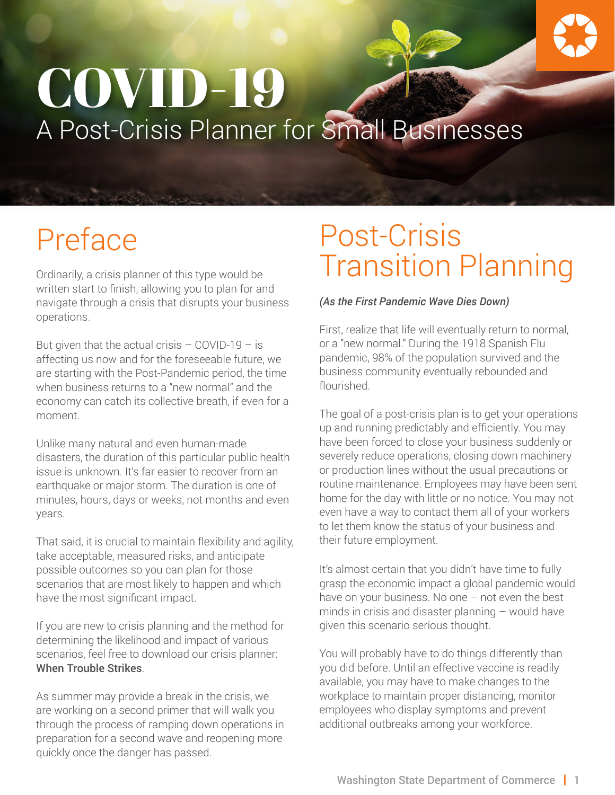# A Post-Crisis Planner for Small Businesses COVID-19

# Preface

Ordinarily, a crisis planner of this type would be written start to finish, allowing you to plan for and navigate through a crisis that disrupts your business operations.

But given that the actual crisis  $-$  COVID-19  $-$  is affecting us now and for the foreseeable future, we are starting with the Post-Pandemic period, the time when business returns to a "new normal" and the economy can catch its collective breath, if even for a moment.

Unlike many natural and even human-made disasters, the duration of this particular public health issue is unknown. It's far easier to recover from an earthquake or major storm. The duration is one of minutes, hours, days or weeks, not months and even years.

That said, it is crucial to maintain flexibility and agility, take acceptable, measured risks, and anticipate possible outcomes so you can plan for those scenarios that are most likely to happen and which have the most significant impact.

If you are new to crisis planning and the method for determining the likelihood and impact of various scenarios, feel free to download our crisis planner: [When Trouble Strikes](http://startup.choosewashingtonstate.com/links/crisis/crisis-planner-home/).

As summer may provide a break in the crisis, we are working on a second primer that will walk you through the process of ramping down operations in preparation for a second wave and reopening more quickly once the danger has passed.

## Post-Crisis Transition Planning

#### *(As the First Pandemic Wave Dies Down)*

First, realize that life will eventually return to normal, or a "new normal." During the 1918 Spanish Flu pandemic, 98% of the population survived and the business community eventually rebounded and flourished.

The goal of a post-crisis plan is to get your operations up and running predictably and efficiently. You may have been forced to close your business suddenly or severely reduce operations, closing down machinery or production lines without the usual precautions or routine maintenance. Employees may have been sent home for the day with little or no notice. You may not even have a way to contact them all of your workers to let them know the status of your business and their future employment.

It's almost certain that you didn't have time to fully grasp the economic impact a global pandemic would have on your business. No one - not even the best minds in crisis and disaster planning – would have given this scenario serious thought.

You will probably have to do things differently than you did before. Until an effective vaccine is readily available, you may have to make changes to the workplace to maintain proper distancing, monitor employees who display symptoms and prevent additional outbreaks among your workforce.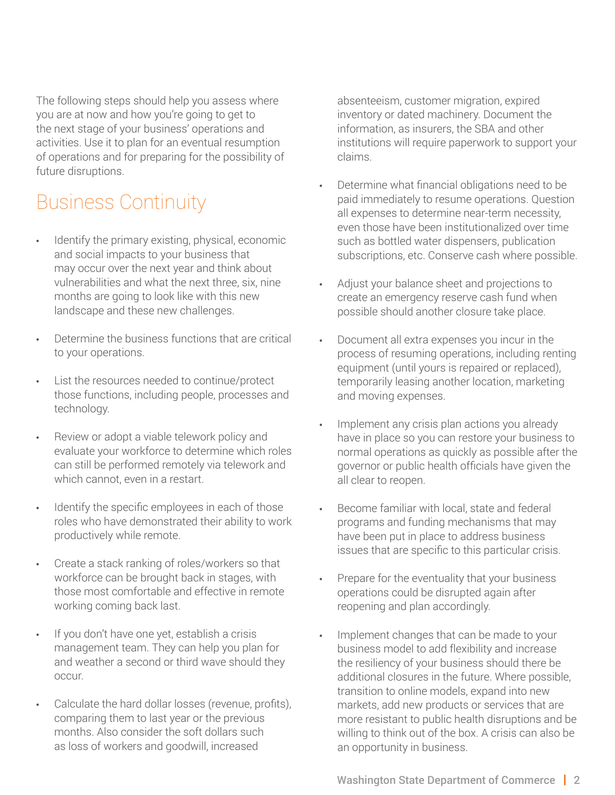The following steps should help you assess where you are at now and how you're going to get to the next stage of your business' operations and activities. Use it to plan for an eventual resumption of operations and for preparing for the possibility of future disruptions.

### Business Continuity

- Identify the primary existing, physical, economic and social impacts to your business that may occur over the next year and think about vulnerabilities and what the next three, six, nine months are going to look like with this new landscape and these new challenges.
- Determine the business functions that are critical to your operations.
- List the resources needed to continue/protect those functions, including people, processes and technology.
- Review or adopt a viable telework policy and evaluate your workforce to determine which roles can still be performed remotely via telework and which cannot, even in a restart.
- Identify the specific employees in each of those roles who have demonstrated their ability to work productively while remote.
- Create a stack ranking of roles/workers so that workforce can be brought back in stages, with those most comfortable and effective in remote working coming back last.
- If you don't have one yet, establish a crisis management team. They can help you plan for and weather a second or third wave should they occur.
- Calculate the hard dollar losses (revenue, profits), comparing them to last year or the previous months. Also consider the soft dollars such as loss of workers and goodwill, increased

absenteeism, customer migration, expired inventory or dated machinery. Document the information, as insurers, the SBA and other institutions will require paperwork to support your claims.

- Determine what financial obligations need to be paid immediately to resume operations. Question all expenses to determine near-term necessity, even those have been institutionalized over time such as bottled water dispensers, publication subscriptions, etc. Conserve cash where possible.
- Adjust your balance sheet and projections to create an emergency reserve cash fund when possible should another closure take place.
- Document all extra expenses you incur in the process of resuming operations, including renting equipment (until yours is repaired or replaced), temporarily leasing another location, marketing and moving expenses.
- Implement any crisis plan actions you already have in place so you can restore your business to normal operations as quickly as possible after the governor or public health officials have given the all clear to reopen.
- Become familiar with local, state and federal programs and funding mechanisms that may have been put in place to address business issues that are specific to this particular crisis.
- Prepare for the eventuality that your business operations could be disrupted again after reopening and plan accordingly.
- Implement changes that can be made to your business model to add flexibility and increase the resiliency of your business should there be additional closures in the future. Where possible, transition to online models, expand into new markets, add new products or services that are more resistant to public health disruptions and be willing to think out of the box. A crisis can also be an opportunity in business.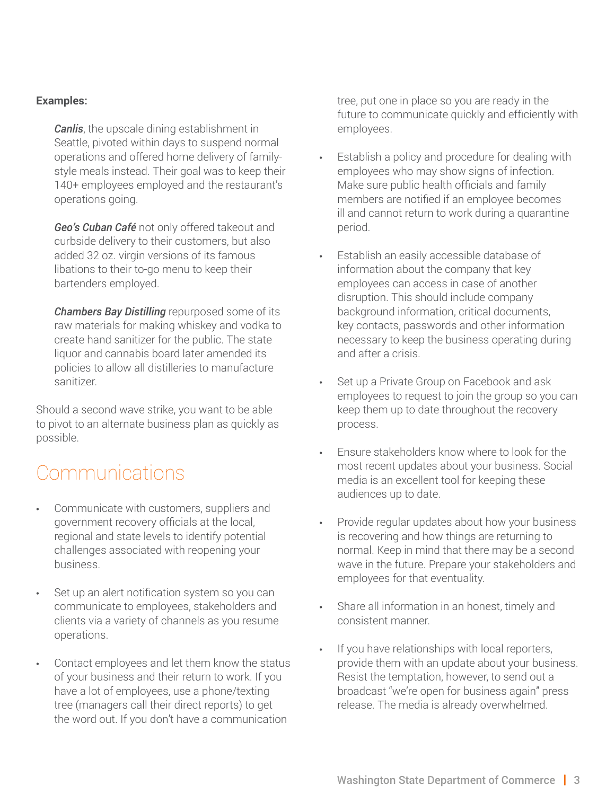#### **Examples:**

*Canlis*, the upscale dining establishment in Seattle, pivoted within days to suspend normal operations and offered home delivery of familystyle meals instead. Their goal was to keep their 140+ employees employed and the restaurant's operations going.

*Geo's Cuban Café* not only offered takeout and curbside delivery to their customers, but also added 32 oz. virgin versions of its famous libations to their to-go menu to keep their bartenders employed.

*Chambers Bay Distilling* repurposed some of its raw materials for making whiskey and vodka to create hand sanitizer for the public. The state liquor and cannabis board later amended its policies to allow all distilleries to manufacture sanitizer.

Should a second wave strike, you want to be able to pivot to an alternate business plan as quickly as possible.

#### **Communications**

- Communicate with customers, suppliers and government recovery officials at the local, regional and state levels to identify potential challenges associated with reopening your business.
- Set up an alert notification system so you can communicate to employees, stakeholders and clients via a variety of channels as you resume operations.
- Contact employees and let them know the status of your business and their return to work. If you have a lot of employees, use a phone/texting tree (managers call their direct reports) to get the word out. If you don't have a communication

tree, put one in place so you are ready in the future to communicate quickly and efficiently with employees.

- Establish a policy and procedure for dealing with employees who may show signs of infection. Make sure public health officials and family members are notified if an employee becomes ill and cannot return to work during a quarantine period.
- Establish an easily accessible database of information about the company that key employees can access in case of another disruption. This should include company background information, critical documents, key contacts, passwords and other information necessary to keep the business operating during and after a crisis.
- Set up a Private Group on Facebook and ask employees to request to join the group so you can keep them up to date throughout the recovery process.
- Ensure stakeholders know where to look for the most recent updates about your business. Social media is an excellent tool for keeping these audiences up to date.
- Provide regular updates about how your business is recovering and how things are returning to normal. Keep in mind that there may be a second wave in the future. Prepare your stakeholders and employees for that eventuality.
- Share all information in an honest, timely and consistent manner.
- If you have relationships with local reporters, provide them with an update about your business. Resist the temptation, however, to send out a broadcast "we're open for business again" press release. The media is already overwhelmed.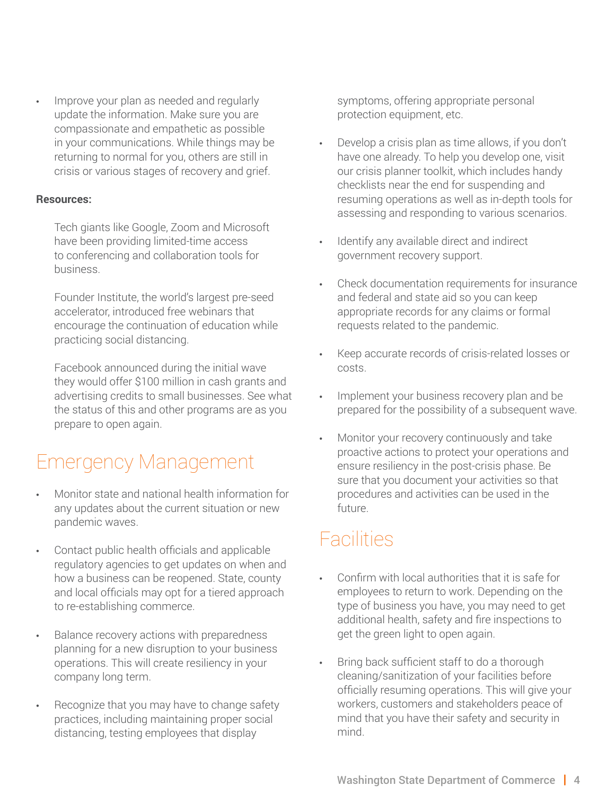• Improve your plan as needed and regularly update the information. Make sure you are compassionate and empathetic as possible in your communications. While things may be returning to normal for you, others are still in crisis or various stages of recovery and grief.

#### **Resources:**

Tech giants like Google, Zoom and Microsoft have been providing limited-time access to conferencing and collaboration tools for business.

Founder Institute, the world's largest pre-seed accelerator, introduced free webinars that encourage the continuation of education while practicing social distancing.

Facebook announced during the initial wave they would offer \$100 million in cash grants and advertising credits to small businesses. See what the status of this and other programs are as you prepare to open again.

### Emergency Management

- Monitor state and national health information for any updates about the current situation or new pandemic waves.
- Contact public health officials and applicable regulatory agencies to get updates on when and how a business can be reopened. State, county and local officials may opt for a tiered approach to re-establishing commerce.
- Balance recovery actions with preparedness planning for a new disruption to your business operations. This will create resiliency in your company long term.
- Recognize that you may have to change safety practices, including maintaining proper social distancing, testing employees that display

symptoms, offering appropriate personal protection equipment, etc.

- Develop a crisis plan as time allows, if you don't have one already. To help you develop one, visit our crisis planner toolkit, which includes handy checklists near the end for suspending and resuming operations as well as in-depth tools for assessing and responding to various scenarios.
- Identify any available direct and indirect government recovery support.
- Check documentation requirements for insurance and federal and state aid so you can keep appropriate records for any claims or formal requests related to the pandemic.
- Keep accurate records of crisis-related losses or costs.
- Implement your business recovery plan and be prepared for the possibility of a subsequent wave.
- Monitor your recovery continuously and take proactive actions to protect your operations and ensure resiliency in the post-crisis phase. Be sure that you document your activities so that procedures and activities can be used in the future.

#### **Facilities**

- Confirm with local authorities that it is safe for employees to return to work. Depending on the type of business you have, you may need to get additional health, safety and fire inspections to get the green light to open again.
- Bring back sufficient staff to do a thorough cleaning/sanitization of your facilities before officially resuming operations. This will give your workers, customers and stakeholders peace of mind that you have their safety and security in mind.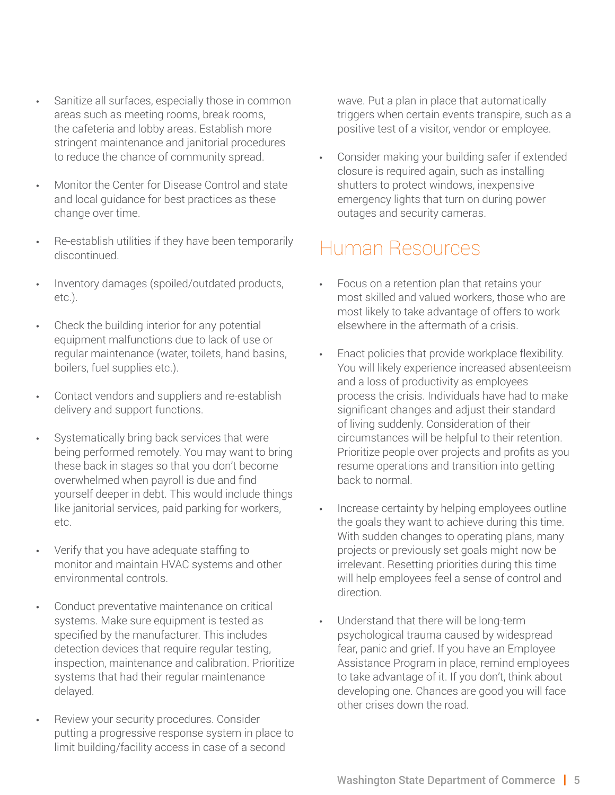- Sanitize all surfaces, especially those in common areas such as meeting rooms, break rooms, the cafeteria and lobby areas. Establish more stringent maintenance and janitorial procedures to reduce the chance of community spread.
- Monitor the Center for Disease Control and state and local guidance for best practices as these change over time.
- Re-establish utilities if they have been temporarily discontinued.
- Inventory damages (spoiled/outdated products, etc.).
- Check the building interior for any potential equipment malfunctions due to lack of use or regular maintenance (water, toilets, hand basins, boilers, fuel supplies etc.).
- Contact vendors and suppliers and re-establish delivery and support functions.
- Systematically bring back services that were being performed remotely. You may want to bring these back in stages so that you don't become overwhelmed when payroll is due and find yourself deeper in debt. This would include things like janitorial services, paid parking for workers, etc.
- Verify that you have adequate staffing to monitor and maintain HVAC systems and other environmental controls.
- Conduct preventative maintenance on critical systems. Make sure equipment is tested as specified by the manufacturer. This includes detection devices that require requiar testing. inspection, maintenance and calibration. Prioritize systems that had their regular maintenance delayed.
- Review your security procedures. Consider putting a progressive response system in place to limit building/facility access in case of a second

wave. Put a plan in place that automatically triggers when certain events transpire, such as a positive test of a visitor, vendor or employee.

• Consider making your building safer if extended closure is required again, such as installing shutters to protect windows, inexpensive emergency lights that turn on during power outages and security cameras.

#### Human Resources

- Focus on a retention plan that retains your most skilled and valued workers, those who are most likely to take advantage of offers to work elsewhere in the aftermath of a crisis.
- Enact policies that provide workplace flexibility. You will likely experience increased absenteeism and a loss of productivity as employees process the crisis. Individuals have had to make significant changes and adjust their standard of living suddenly. Consideration of their circumstances will be helpful to their retention. Prioritize people over projects and profits as you resume operations and transition into getting back to normal.
- Increase certainty by helping employees outline the goals they want to achieve during this time. With sudden changes to operating plans, many projects or previously set goals might now be irrelevant. Resetting priorities during this time will help employees feel a sense of control and direction.
- Understand that there will be long-term psychological trauma caused by widespread fear, panic and grief. If you have an Employee Assistance Program in place, remind employees to take advantage of it. If you don't, think about developing one. Chances are good you will face other crises down the road.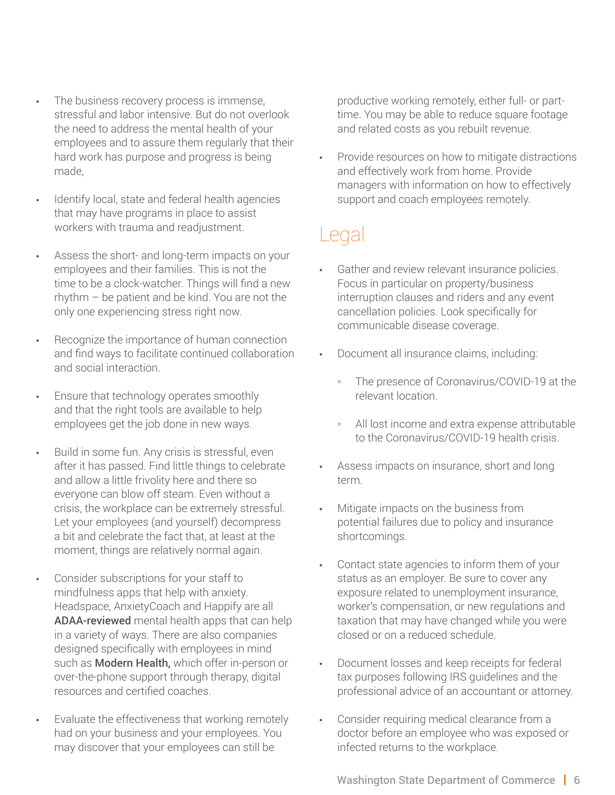- The business recovery process is immense, stressful and labor intensive. But do not overlook the need to address the mental health of your employees and to assure them regularly that their hard work has purpose and progress is being made,
- Identify local, state and federal health agencies that may have programs in place to assist workers with trauma and readjustment.
- Assess the short- and long-term impacts on your employees and their families. This is not the time to be a clock-watcher. Things will find a new rhythm – be patient and be kind. You are not the only one experiencing stress right now.
- Recognize the importance of human connection and find ways to facilitate continued collaboration and social interaction.
- Ensure that technology operates smoothly and that the right tools are available to help employees get the job done in new ways.
- Build in some fun. Any crisis is stressful, even after it has passed. Find little things to celebrate and allow a little frivolity here and there so everyone can blow off steam. Even without a crisis, the workplace can be extremely stressful. Let your employees (and yourself) decompress a bit and celebrate the fact that, at least at the moment, things are relatively normal again.
- Consider subscriptions for your staff to mindfulness apps that help with anxiety. Headspace, AnxietyCoach and Happify are all [ADAA-reviewed](https://adaa.org/finding-help/mobile-apps) mental health apps that can help in a variety of ways. There are also companies designed specifically with employees in mind such as [Modern Health,](https://www.joinmodernhealth.com/businesses/) which offer in-person or over-the-phone support through therapy, digital resources and certified coaches.
- Evaluate the effectiveness that working remotely had on your business and your employees. You may discover that your employees can still be

productive working remotely, either full- or parttime. You may be able to reduce square footage and related costs as you rebuilt revenue.

• Provide resources on how to mitigate distractions and effectively work from home. Provide managers with information on how to effectively support and coach employees remotely.

### Legal

- Gather and review relevant insurance policies. Focus in particular on property/business interruption clauses and riders and any event cancellation policies. Look specifically for communicable disease coverage.
- Document all insurance claims, including:
	- The presence of Coronavirus/COVID-19 at the relevant location.
	- All lost income and extra expense attributable to the Coronavirus/COVID-19 health crisis.
- Assess impacts on insurance, short and long term.
- Mitigate impacts on the business from potential failures due to policy and insurance shortcomings.
- Contact state agencies to inform them of your status as an employer. Be sure to cover any exposure related to unemployment insurance, worker's compensation, or new regulations and taxation that may have changed while you were closed or on a reduced schedule.
- Document losses and keep receipts for federal tax purposes following IRS guidelines and the professional advice of an accountant or attorney.
- Consider requiring medical clearance from a doctor before an employee who was exposed or infected returns to the workplace.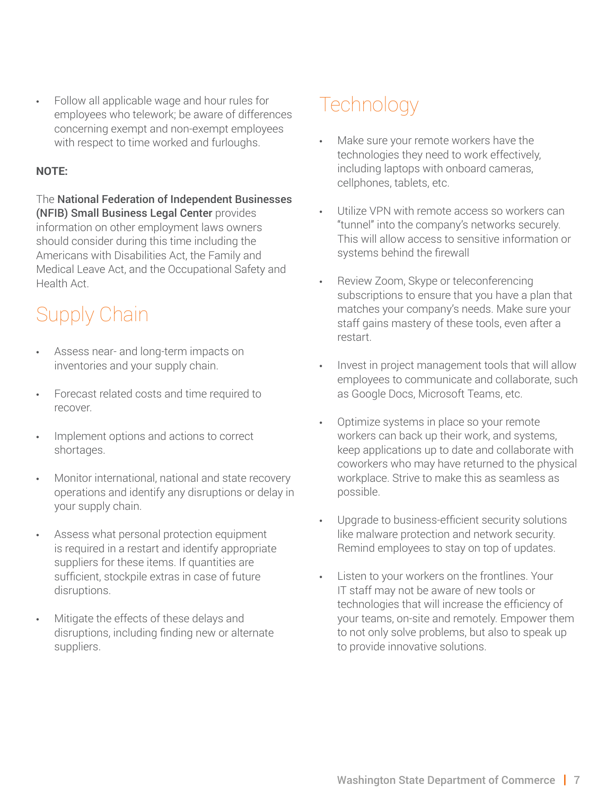• Follow all applicable wage and hour rules for employees who telework; be aware of differences concerning exempt and non-exempt employees with respect to time worked and furloughs.

#### **NOTE:**

The [National Federation of Independent Businesses](https://www.nfib.com/foundations/legal-center/)  [\(NFIB\) Small Business Legal Center](https://www.nfib.com/foundations/legal-center/) provides information on other employment laws owners should consider during this time including the Americans with Disabilities Act, the Family and Medical Leave Act, and the Occupational Safety and Health Act.

### Supply Chain

- Assess near- and long-term impacts on inventories and your supply chain.
- Forecast related costs and time required to recover.
- Implement options and actions to correct shortages.
- Monitor international, national and state recovery operations and identify any disruptions or delay in your supply chain.
- Assess what personal protection equipment is required in a restart and identify appropriate suppliers for these items. If quantities are sufficient, stockpile extras in case of future disruptions.
- Mitigate the effects of these delays and disruptions, including finding new or alternate suppliers.

### **Technology**

- Make sure your remote workers have the technologies they need to work effectively, including laptops with onboard cameras, cellphones, tablets, etc.
- Utilize VPN with remote access so workers can "tunnel" into the company's networks securely. This will allow access to sensitive information or systems behind the firewall
- Review Zoom, Skype or teleconferencing subscriptions to ensure that you have a plan that matches your company's needs. Make sure your staff gains mastery of these tools, even after a restart.
- Invest in project management tools that will allow employees to communicate and collaborate, such as Google Docs, Microsoft Teams, etc.
- Optimize systems in place so your remote workers can back up their work, and systems, keep applications up to date and collaborate with coworkers who may have returned to the physical workplace. Strive to make this as seamless as possible.
- Upgrade to business-efficient security solutions like malware protection and network security. Remind employees to stay on top of updates.
- Listen to your workers on the frontlines. Your IT staff may not be aware of new tools or technologies that will increase the efficiency of your teams, on-site and remotely. Empower them to not only solve problems, but also to speak up to provide innovative solutions.